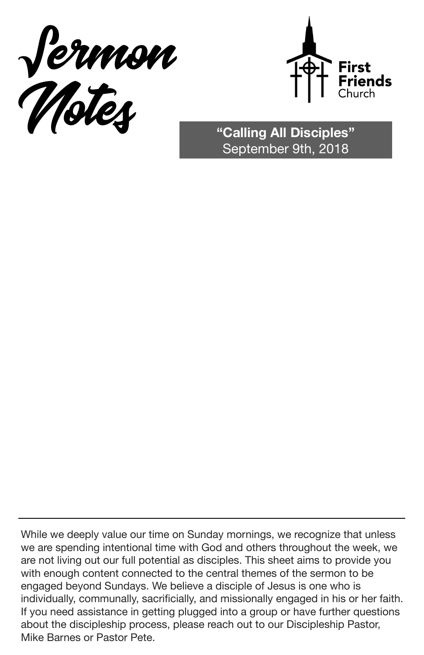



September 9th, 2018

While we deeply value our time on Sunday mornings, we recognize that unless we are spending intentional time with God and others throughout the week, we are not living out our full potential as disciples. This sheet aims to provide you with enough content connected to the central themes of the sermon to be engaged beyond Sundays. We believe a disciple of Jesus is one who is individually, communally, sacrificially, and missionally engaged in his or her faith. If you need assistance in getting plugged into a group or have further questions about the discipleship process, please reach out to our Discipleship Pastor, Mike Barnes or Pastor Pete.